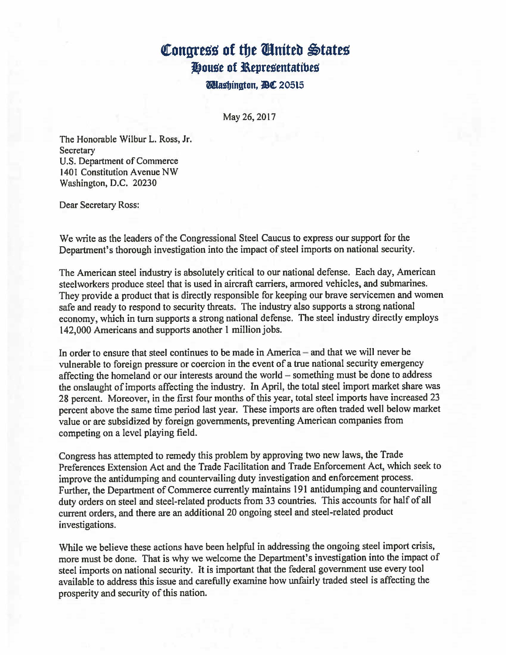## **Congress of the United States House of Representatibes**

**Dubington.1DC** 20515

May 26, 2017

The Honorable Wilbur L. Ross, Jr. **Secretary** U.S. Department of Commerce 1401 Constitution Avenue NW Washington, D.C. 20230

Dear Secretary Ross:

We write as the leaders of the Congressional Steel Caucus to express our support for the Department's thorough investigation into the impact of steel imports on national security.

The American steel industry is absolutely critical to our national defense. Each day, American steelworkers produce steel that is used in aircraft carriers, armored vehicles, and submarines. They provide a product that is directly responsible for keeping our brave servicemen and women safe and ready to respond to security threats. The industry also supports a strong national economy, which in turn supports a strong national defense. The steel industry directly employs 142,000 Americans and supports another 1 million jobs.

In order to ensure that steel continues to be made in America  $-$  and that we will never be vulnerable to foreign pressure or coercion in the event of a true national security emergency affecting the homeland or our interests around the world - something must be done to address the onslaught of imports affecting the industry. In April, the total steel import market share was 28 percent. Moreover, in the first four months of this year, total steel imports have increased 23 percent above the same time period last year. These imports are often traded well below market value or are subsidized by foreign governments, preventing American companies from competing on a level playing field.

Congress has attempted to remedy this problem by approving two new laws, the Trade Preferences Extension Act and the Trade Facilitation and Trade Enforcement Act, which seek to improve the antidumping and countervailing duty investigation and enforcement process. Further, the Department of Commerce currently maintains 191 antidumping and countervailing duty orders on steel and steel-related products from 33 countries. This accounts for half of all current orders, and there are an additional 20 ongoing steel and steel-related product investigations.

While we believe these actions have been helpful in addressing the ongoing steel import crisis, more must be done. That is why we welcome the Department's investigation into the impact of steel imports on national security. It is important that the federal government use every tool available to address this issue and carefully examine how unfairly traded steel is affecting the prosperity and security of this nation.